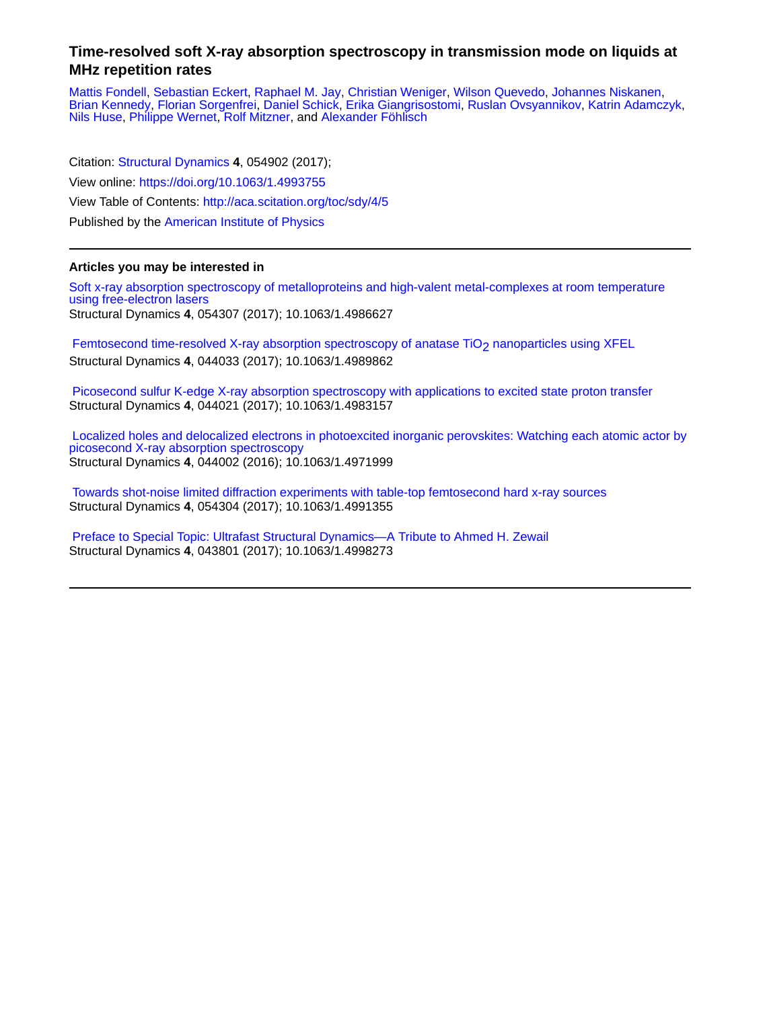## **Time-resolved soft X-ray absorption spectroscopy in transmission mode on liquids at MHz repetition rates**

[Mattis Fondell,](http://aca.scitation.org/author/Fondell%2C+Mattis) [Sebastian Eckert,](http://aca.scitation.org/author/Eckert%2C+Sebastian) [Raphael M. Jay,](http://aca.scitation.org/author/Jay%2C+Raphael+M) [Christian Weniger](http://aca.scitation.org/author/Weniger%2C+Christian), [Wilson Quevedo](http://aca.scitation.org/author/Quevedo%2C+Wilson), [Johannes Niskanen,](http://aca.scitation.org/author/Niskanen%2C+Johannes) [Brian Kennedy,](http://aca.scitation.org/author/Kennedy%2C+Brian) [Florian Sorgenfrei,](http://aca.scitation.org/author/Sorgenfrei%2C+Florian) [Daniel Schick](http://aca.scitation.org/author/Schick%2C+Daniel), [Erika Giangrisostomi,](http://aca.scitation.org/author/Giangrisostomi%2C+Erika) [Ruslan Ovsyannikov](http://aca.scitation.org/author/Ovsyannikov%2C+Ruslan), [Katrin Adamczyk,](http://aca.scitation.org/author/Adamczyk%2C+Katrin) [Nils Huse](http://aca.scitation.org/author/Huse%2C+Nils), [Philippe Wernet](http://aca.scitation.org/author/Wernet%2C+Philippe), [Rolf Mitzner,](http://aca.scitation.org/author/Mitzner%2C+Rolf) and [Alexander Föhlisch](http://aca.scitation.org/author/F%C3%B6hlisch%2C+Alexander)

Citation: [Structural Dynamics](/loi/sdy) **4**, 054902 (2017); View online: <https://doi.org/10.1063/1.4993755> View Table of Contents: <http://aca.scitation.org/toc/sdy/4/5> Published by the [American Institute of Physics](http://aca.scitation.org/publisher/)

## **Articles you may be interested in**

[Soft x-ray absorption spectroscopy of metalloproteins and high-valent metal-complexes at room temperature](http://aca.scitation.org/doi/abs/10.1063/1.4986627) [using free-electron lasers](http://aca.scitation.org/doi/abs/10.1063/1.4986627) Structural Dynamics **4**, 054307 (2017); 10.1063/1.4986627

Femtosecond time-resolved X-ray absorption spectroscopy of anatase TiO<sub>2</sub> nanoparticles using XFEL Structural Dynamics **4**, 044033 (2017); 10.1063/1.4989862

 [Picosecond sulfur K-edge X-ray absorption spectroscopy with applications to excited state proton transfer](http://aca.scitation.org/doi/abs/10.1063/1.4983157) Structural Dynamics **4**, 044021 (2017); 10.1063/1.4983157

 [Localized holes and delocalized electrons in photoexcited inorganic perovskites: Watching each atomic actor by](http://aca.scitation.org/doi/abs/10.1063/1.4971999) [picosecond X-ray absorption spectroscopy](http://aca.scitation.org/doi/abs/10.1063/1.4971999) Structural Dynamics **4**, 044002 (2016); 10.1063/1.4971999

 [Towards shot-noise limited diffraction experiments with table-top femtosecond hard x-ray sources](http://aca.scitation.org/doi/abs/10.1063/1.4991355) Structural Dynamics **4**, 054304 (2017); 10.1063/1.4991355

 [Preface to Special Topic: Ultrafast Structural Dynamics—A Tribute to Ahmed H. Zewail](http://aca.scitation.org/doi/abs/10.1063/1.4998273) Structural Dynamics **4**, 043801 (2017); 10.1063/1.4998273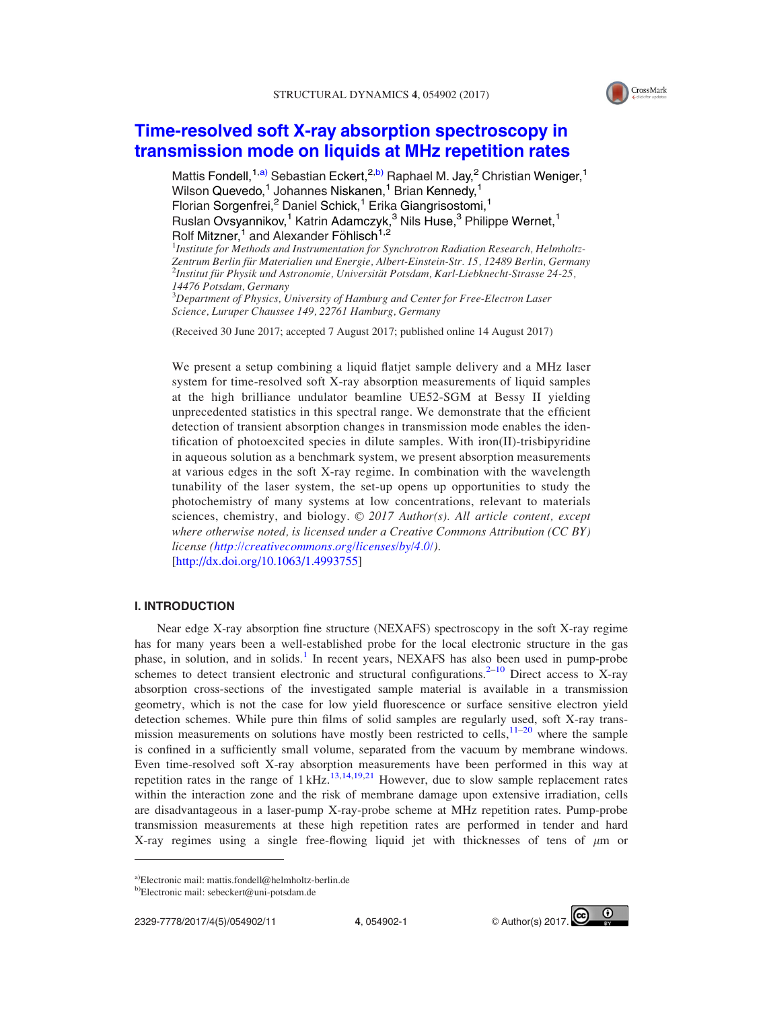

# [Time-resolved soft X-ray absorption spectroscopy in](http://dx.doi.org/10.1063/1.4993755) [transmission mode on liquids at MHz repetition rates](http://dx.doi.org/10.1063/1.4993755)

Mattis Fondell,<sup>1,a)</sup> Sebastian Eckert,<sup>2,b)</sup> Raphael M. Jay,<sup>2</sup> Christian Weniger,<sup>1</sup> Wilson Quevedo,<sup>1</sup> Johannes Niskanen,<sup>1</sup> Brian Kennedy,<sup>1</sup> Florian Sorgenfrei,<sup>2</sup> Daniel Schick,<sup>1</sup> Erika Giangrisostomi,<sup>1</sup> Ruslan Ovsyannikov,<sup>1</sup> Katrin Adamczyk,<sup>3</sup> Nils Huse,<sup>3</sup> Philippe Wernet,<sup>1</sup> Rolf Mitzner,<sup>1</sup> and Alexander Föhlisch<sup>1,2</sup> <sup>1</sup>Institute for Methods and Instrumentation for Synchrotron Radiation Research, Helmholtz-

Zentrum Berlin für Materialien und Energie, Albert-Einstein-Str. 15, 12489 Berlin, Germany  $^{2}$ Institut für Physik und Astronomie, Universität Potsdam, Karl-Liebknecht-Strasse 24-25, 14476 Potsdam, Germany

 $3$ Department of Physics, University of Hamburg and Center for Free-Electron Laser Science, Luruper Chaussee 149, 22761 Hamburg, Germany

(Received 30 June 2017; accepted 7 August 2017; published online 14 August 2017)

We present a setup combining a liquid flatjet sample delivery and a MHz laser system for time-resolved soft X-ray absorption measurements of liquid samples at the high brilliance undulator beamline UE52-SGM at Bessy II yielding unprecedented statistics in this spectral range. We demonstrate that the efficient detection of transient absorption changes in transmission mode enables the identification of photoexcited species in dilute samples. With iron(II)-trisbipyridine in aqueous solution as a benchmark system, we present absorption measurements at various edges in the soft X-ray regime. In combination with the wavelength tunability of the laser system, the set-up opens up opportunities to study the photochemistry of many systems at low concentrations, relevant to materials sciences, chemistry, and biology.  $\odot$  2017 Author(s). All article content, except where otherwise noted, is licensed under a Creative Commons Attribution (CC BY) license ([http://creativecommons.org/licenses/by/4.0/\)](http://creativecommons.org/licenses/by/4.0/). [http://dx.doi.org/10.1063/1.4993755]

#### I. INTRODUCTION

Near edge X-ray absorption fine structure (NEXAFS) spectroscopy in the soft X-ray regime has for many years been a well-established probe for the local electronic structure in the gas phase, in solution, and in solids.[1](#page-9-0) In recent years, NEXAFS has also been used in pump-probe schemes to detect transient electronic and structural configurations. $2-10$  $2-10$  Direct access to X-ray absorption cross-sections of the investigated sample material is available in a transmission geometry, which is not the case for low yield fluorescence or surface sensitive electron yield detection schemes. While pure thin films of solid samples are regularly used, soft X-ray transmission measurements on solutions have mostly been restricted to cells,  $11-20$  $11-20$  $11-20$  where the sample is confined in a sufficiently small volume, separated from the vacuum by membrane windows. Even time-resolved soft X-ray absorption measurements have been performed in this way at repetition rates in the range of  $1 \text{ kHz}^{13,14,19,21}$  $1 \text{ kHz}^{13,14,19,21}$  $1 \text{ kHz}^{13,14,19,21}$  $1 \text{ kHz}^{13,14,19,21}$  $1 \text{ kHz}^{13,14,19,21}$  However, due to slow sample replacement rates within the interaction zone and the risk of membrane damage upon extensive irradiation, cells are disadvantageous in a laser-pump X-ray-probe scheme at MHz repetition rates. Pump-probe transmission measurements at these high repetition rates are performed in tender and hard X-ray regimes using a single free-flowing liquid jet with thicknesses of tens of  $\mu$ m or



a)Electronic mail: [mattis.fondell@helmholtz-berlin.de](mailto:mattis.fondell@helmholtz-berlin.de)

 $b)$ Electronic mail: [sebeckert@uni-potsdam.de](mailto:sebeckert@uni-potsdam.de)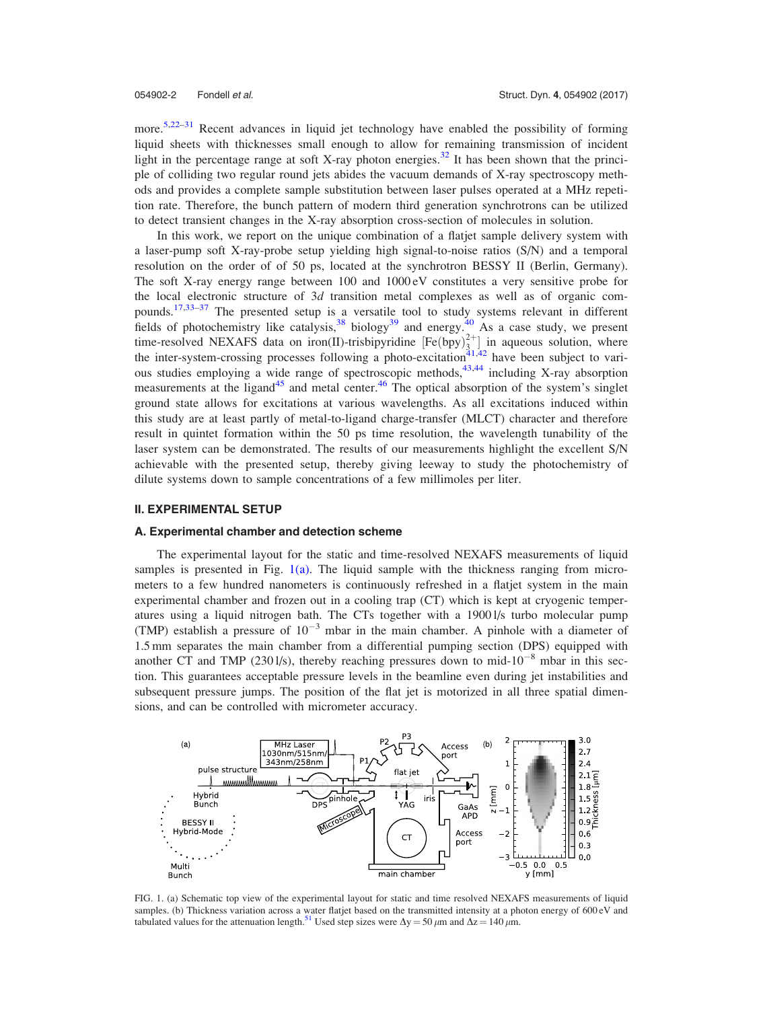<span id="page-2-0"></span>more.<sup>[5,22–31](#page-10-0)</sup> Recent advances in liquid jet technology have enabled the possibility of forming liquid sheets with thicknesses small enough to allow for remaining transmission of incident light in the percentage range at soft X-ray photon energies.<sup>[32](#page-10-0)</sup> It has been shown that the principle of colliding two regular round jets abides the vacuum demands of X-ray spectroscopy methods and provides a complete sample substitution between laser pulses operated at a MHz repetition rate. Therefore, the bunch pattern of modern third generation synchrotrons can be utilized to detect transient changes in the X-ray absorption cross-section of molecules in solution.

In this work, we report on the unique combination of a flatjet sample delivery system with a laser-pump soft X-ray-probe setup yielding high signal-to-noise ratios (S/N) and a temporal resolution on the order of of 50 ps, located at the synchrotron BESSY II (Berlin, Germany). The soft X-ray energy range between 100 and 1000 eV constitutes a very sensitive probe for the local electronic structure of 3d transition metal complexes as well as of organic compounds.[17,33–37](#page-10-0) The presented setup is a versatile tool to study systems relevant in different fields of photochemistry like catalysis,<sup>[38](#page-10-0)</sup> biology<sup>39</sup> and energy.<sup>[40](#page-10-0)</sup> As a case study, we present time-resolved NEXAFS data on iron(II)-trisbipyridine  $[Fe(bpy)_{3}^{2+}]$  in aqueous solution, where the inter-system-crossing processes following a photo-excitation<sup>41,42</sup> have been subject to various studies employing a wide range of spectroscopic methods,  $43,44$  including X-ray absorption measurements at the ligand $45$  and metal center. $46$  The optical absorption of the system's singlet ground state allows for excitations at various wavelengths. As all excitations induced within this study are at least partly of metal-to-ligand charge-transfer (MLCT) character and therefore result in quintet formation within the 50 ps time resolution, the wavelength tunability of the laser system can be demonstrated. The results of our measurements highlight the excellent S/N achievable with the presented setup, thereby giving leeway to study the photochemistry of dilute systems down to sample concentrations of a few millimoles per liter.

#### II. EXPERIMENTAL SETUP

#### A. Experimental chamber and detection scheme

The experimental layout for the static and time-resolved NEXAFS measurements of liquid samples is presented in Fig.  $1(a)$ . The liquid sample with the thickness ranging from micrometers to a few hundred nanometers is continuously refreshed in a flatjet system in the main experimental chamber and frozen out in a cooling trap (CT) which is kept at cryogenic temperatures using a liquid nitrogen bath. The CTs together with a 1900 l/s turbo molecular pump (TMP) establish a pressure of  $10^{-3}$  mbar in the main chamber. A pinhole with a diameter of 1.5 mm separates the main chamber from a differential pumping section (DPS) equipped with another CT and TMP (230 l/s), thereby reaching pressures down to mid- $10^{-8}$  mbar in this section. This guarantees acceptable pressure levels in the beamline even during jet instabilities and subsequent pressure jumps. The position of the flat jet is motorized in all three spatial dimensions, and can be controlled with micrometer accuracy.



FIG. 1. (a) Schematic top view of the experimental layout for static and time resolved NEXAFS measurements of liquid samples. (b) Thickness variation across a water flatjet based on the transmitted intensity at a photon energy of 600 eV and tabulated values for the attenuation length.<sup>[51](#page-11-0)</sup> Used step sizes were  $\Delta y = 50 \ \mu m$  and  $\Delta z = 140 \ \mu m$ .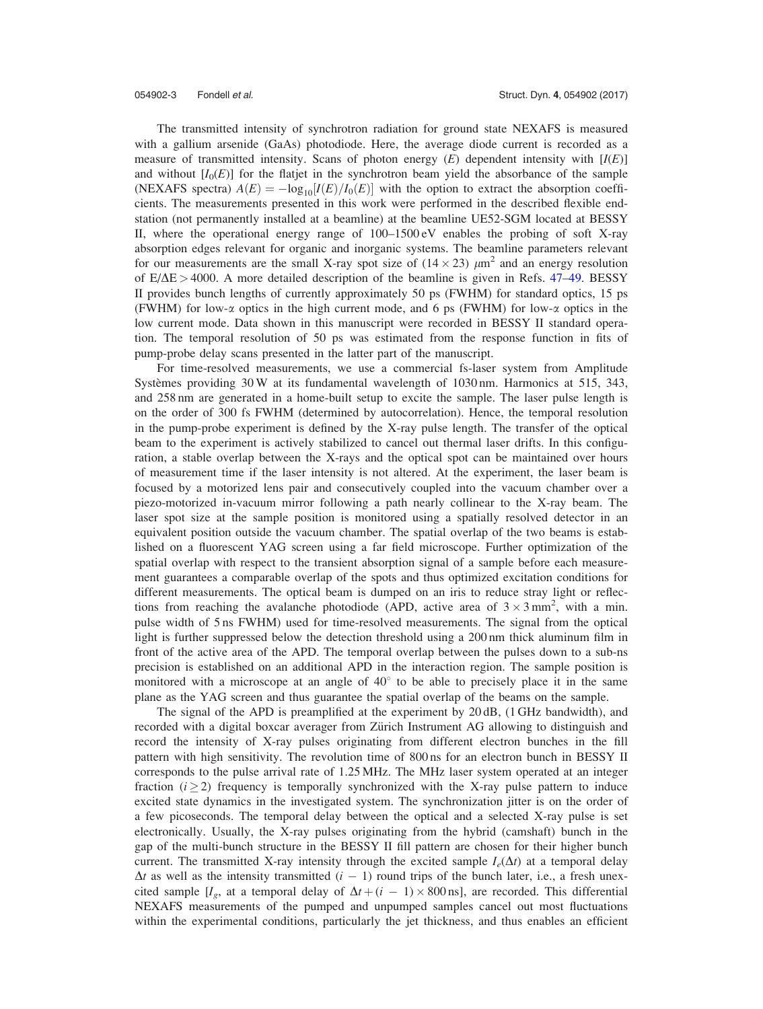The transmitted intensity of synchrotron radiation for ground state NEXAFS is measured with a gallium arsenide (GaAs) photodiode. Here, the average diode current is recorded as a measure of transmitted intensity. Scans of photon energy  $(E)$  dependent intensity with  $[I(E)]$ and without  $[I_0(E)]$  for the flatjet in the synchrotron beam yield the absorbance of the sample (NEXAFS spectra)  $A(E) = -\log_{10}[I(E)/I_0(E)]$  with the option to extract the absorption coefficients. The measurements presented in this work were performed in the described flexible endstation (not permanently installed at a beamline) at the beamline UE52-SGM located at BESSY II, where the operational energy range of 100–1500 eV enables the probing of soft X-ray absorption edges relevant for organic and inorganic systems. The beamline parameters relevant for our measurements are the small X-ray spot size of  $(14 \times 23) \mu m^2$  and an energy resolution of  $E/\Delta E > 4000$ . A more detailed description of the beamline is given in Refs. [47–49.](#page-11-0) BESSY II provides bunch lengths of currently approximately 50 ps (FWHM) for standard optics, 15 ps (FWHM) for low- $\alpha$  optics in the high current mode, and 6 ps (FWHM) for low- $\alpha$  optics in the low current mode. Data shown in this manuscript were recorded in BESSY II standard operation. The temporal resolution of 50 ps was estimated from the response function in fits of pump-probe delay scans presented in the latter part of the manuscript.

For time-resolved measurements, we use a commercial fs-laser system from Amplitude Systèmes providing 30 W at its fundamental wavelength of 1030 nm. Harmonics at 515, 343, and 258 nm are generated in a home-built setup to excite the sample. The laser pulse length is on the order of 300 fs FWHM (determined by autocorrelation). Hence, the temporal resolution in the pump-probe experiment is defined by the X-ray pulse length. The transfer of the optical beam to the experiment is actively stabilized to cancel out thermal laser drifts. In this configuration, a stable overlap between the X-rays and the optical spot can be maintained over hours of measurement time if the laser intensity is not altered. At the experiment, the laser beam is focused by a motorized lens pair and consecutively coupled into the vacuum chamber over a piezo-motorized in-vacuum mirror following a path nearly collinear to the X-ray beam. The laser spot size at the sample position is monitored using a spatially resolved detector in an equivalent position outside the vacuum chamber. The spatial overlap of the two beams is established on a fluorescent YAG screen using a far field microscope. Further optimization of the spatial overlap with respect to the transient absorption signal of a sample before each measurement guarantees a comparable overlap of the spots and thus optimized excitation conditions for different measurements. The optical beam is dumped on an iris to reduce stray light or reflections from reaching the avalanche photodiode (APD, active area of  $3 \times 3$  mm<sup>2</sup>, with a min. pulse width of 5 ns FWHM) used for time-resolved measurements. The signal from the optical light is further suppressed below the detection threshold using a 200 nm thick aluminum film in front of the active area of the APD. The temporal overlap between the pulses down to a sub-ns precision is established on an additional APD in the interaction region. The sample position is monitored with a microscope at an angle of  $40^{\circ}$  to be able to precisely place it in the same plane as the YAG screen and thus guarantee the spatial overlap of the beams on the sample.

The signal of the APD is preamplified at the experiment by 20 dB, (1 GHz bandwidth), and recorded with a digital boxcar averager from Zürich Instrument AG allowing to distinguish and record the intensity of X-ray pulses originating from different electron bunches in the fill pattern with high sensitivity. The revolution time of 800 ns for an electron bunch in BESSY II corresponds to the pulse arrival rate of 1.25 MHz. The MHz laser system operated at an integer fraction  $(i > 2)$  frequency is temporally synchronized with the X-ray pulse pattern to induce excited state dynamics in the investigated system. The synchronization jitter is on the order of a few picoseconds. The temporal delay between the optical and a selected X-ray pulse is set electronically. Usually, the X-ray pulses originating from the hybrid (camshaft) bunch in the gap of the multi-bunch structure in the BESSY II fill pattern are chosen for their higher bunch current. The transmitted X-ray intensity through the excited sample  $I_e(\Delta t)$  at a temporal delay  $\Delta t$  as well as the intensity transmitted  $(i - 1)$  round trips of the bunch later, i.e., a fresh unexcited sample [ $I_g$ , at a temporal delay of  $\Delta t + (i - 1) \times 800 \text{ ns}$ ], are recorded. This differential NEXAFS measurements of the pumped and unpumped samples cancel out most fluctuations within the experimental conditions, particularly the jet thickness, and thus enables an efficient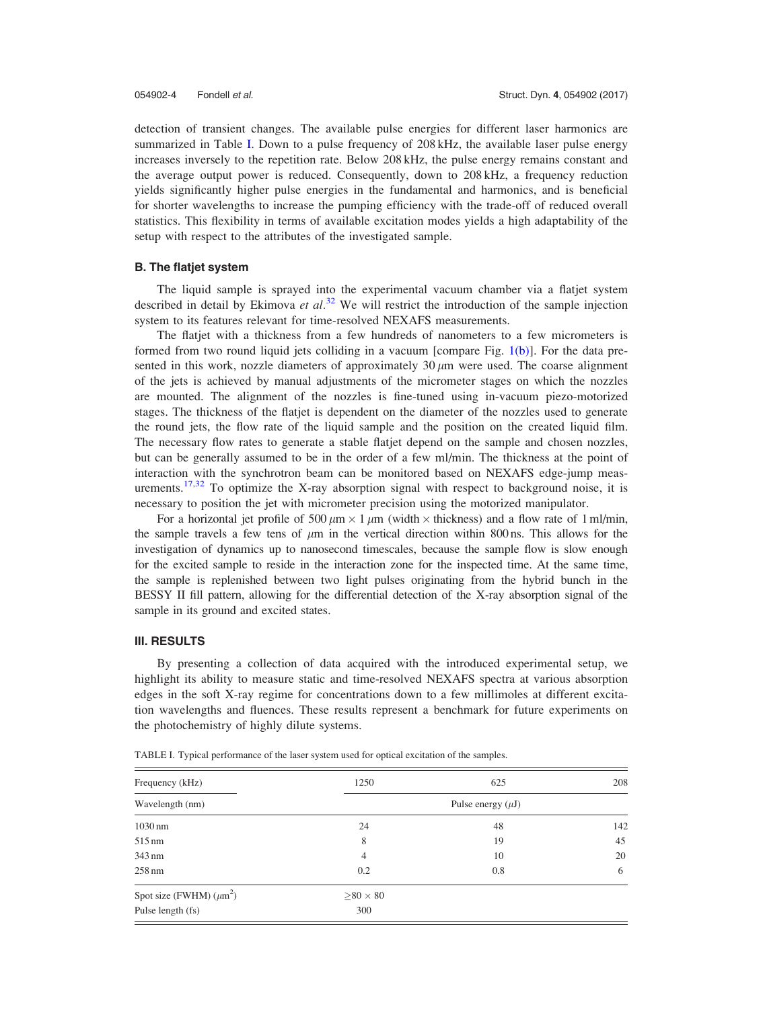detection of transient changes. The available pulse energies for different laser harmonics are summarized in Table I. Down to a pulse frequency of 208 kHz, the available laser pulse energy increases inversely to the repetition rate. Below 208 kHz, the pulse energy remains constant and the average output power is reduced. Consequently, down to 208 kHz, a frequency reduction yields significantly higher pulse energies in the fundamental and harmonics, and is beneficial for shorter wavelengths to increase the pumping efficiency with the trade-off of reduced overall statistics. This flexibility in terms of available excitation modes yields a high adaptability of the setup with respect to the attributes of the investigated sample.

#### B. The flatjet system

The liquid sample is sprayed into the experimental vacuum chamber via a flatjet system described in detail by Ekimova et  $al^{32}$  $al^{32}$  $al^{32}$ . We will restrict the introduction of the sample injection system to its features relevant for time-resolved NEXAFS measurements.

The flatjet with a thickness from a few hundreds of nanometers to a few micrometers is formed from two round liquid jets colliding in a vacuum [compare Fig. [1\(b\)\]](#page-2-0). For the data presented in this work, nozzle diameters of approximately  $30 \mu m$  were used. The coarse alignment of the jets is achieved by manual adjustments of the micrometer stages on which the nozzles are mounted. The alignment of the nozzles is fine-tuned using in-vacuum piezo-motorized stages. The thickness of the flatjet is dependent on the diameter of the nozzles used to generate the round jets, the flow rate of the liquid sample and the position on the created liquid film. The necessary flow rates to generate a stable flatjet depend on the sample and chosen nozzles, but can be generally assumed to be in the order of a few ml/min. The thickness at the point of interaction with the synchrotron beam can be monitored based on NEXAFS edge-jump meas-urements.<sup>[17,32](#page-10-0)</sup> To optimize the X-ray absorption signal with respect to background noise, it is necessary to position the jet with micrometer precision using the motorized manipulator.

For a horizontal jet profile of 500  $\mu$ m  $\times$  1  $\mu$ m (width  $\times$  thickness) and a flow rate of 1 ml/min, the sample travels a few tens of  $\mu$ m in the vertical direction within 800 ns. This allows for the investigation of dynamics up to nanosecond timescales, because the sample flow is slow enough for the excited sample to reside in the interaction zone for the inspected time. At the same time, the sample is replenished between two light pulses originating from the hybrid bunch in the BESSY II fill pattern, allowing for the differential detection of the X-ray absorption signal of the sample in its ground and excited states.

#### III. RESULTS

By presenting a collection of data acquired with the introduced experimental setup, we highlight its ability to measure static and time-resolved NEXAFS spectra at various absorption edges in the soft X-ray regime for concentrations down to a few millimoles at different excitation wavelengths and fluences. These results represent a benchmark for future experiments on the photochemistry of highly dilute systems.

| Frequency (kHz)<br>Wavelength (nm) | 1250                   | 625 | 208 |
|------------------------------------|------------------------|-----|-----|
|                                    | Pulse energy $(\mu J)$ |     |     |
| 1030 nm                            | 24                     | 48  | 142 |
| 515 nm                             | 8                      | 19  | 45  |
| 343 nm                             | $\overline{4}$         | 10  | 20  |
| $258 \text{ nm}$                   | 0.2                    | 0.8 | 6   |
| Spot size (FWHM) $(\mu m^2)$       | $>80\times80$          |     |     |
| Pulse length (fs)                  | 300                    |     |     |

TABLE I. Typical performance of the laser system used for optical excitation of the samples.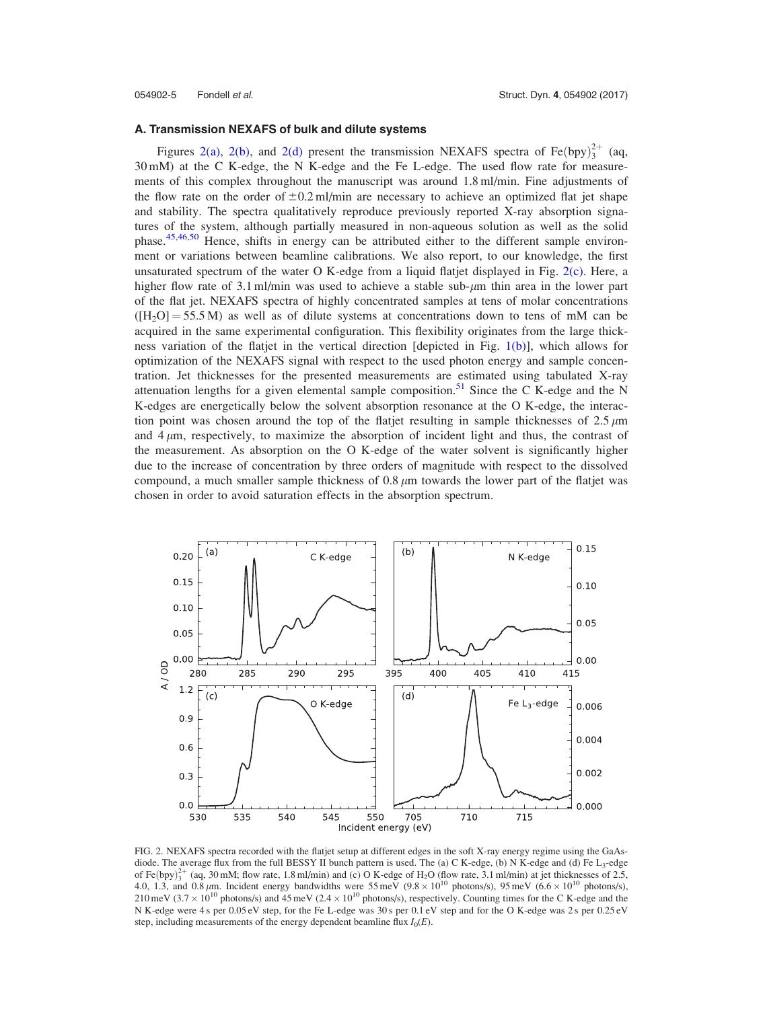<span id="page-5-0"></span>

#### A. Transmission NEXAFS of bulk and dilute systems

Figures 2(a), 2(b), and 2(d) present the transmission NEXAFS spectra of Fe(bpy) $^{2+}_{3}$  (aq, 30 mM) at the C K-edge, the N K-edge and the Fe L-edge. The used flow rate for measurements of this complex throughout the manuscript was around 1.8 ml/min. Fine adjustments of the flow rate on the order of  $\pm 0.2$  ml/min are necessary to achieve an optimized flat jet shape and stability. The spectra qualitatively reproduce previously reported X-ray absorption signatures of the system, although partially measured in non-aqueous solution as well as the solid phase.<sup>[45,46](#page-10-0)[,50](#page-11-0)</sup> Hence, shifts in energy can be attributed either to the different sample environment or variations between beamline calibrations. We also report, to our knowledge, the first unsaturated spectrum of the water O K-edge from a liquid flatjet displayed in Fig. 2(c). Here, a higher flow rate of 3.1 ml/min was used to achieve a stable sub- $\mu$ m thin area in the lower part of the flat jet. NEXAFS spectra of highly concentrated samples at tens of molar concentrations  $([H<sub>2</sub>O] = 55.5 M)$  as well as of dilute systems at concentrations down to tens of mM can be acquired in the same experimental configuration. This flexibility originates from the large thickness variation of the flatjet in the vertical direction [depicted in Fig. [1\(b\)](#page-2-0)], which allows for optimization of the NEXAFS signal with respect to the used photon energy and sample concentration. Jet thicknesses for the presented measurements are estimated using tabulated X-ray attenuation lengths for a given elemental sample composition.<sup>[51](#page-11-0)</sup> Since the C K-edge and the N K-edges are energetically below the solvent absorption resonance at the O K-edge, the interaction point was chosen around the top of the flatjet resulting in sample thicknesses of  $2.5 \mu m$ and  $4 \mu$ m, respectively, to maximize the absorption of incident light and thus, the contrast of the measurement. As absorption on the O K-edge of the water solvent is significantly higher due to the increase of concentration by three orders of magnitude with respect to the dissolved compound, a much smaller sample thickness of  $0.8 \mu m$  towards the lower part of the flatjet was chosen in order to avoid saturation effects in the absorption spectrum.



FIG. 2. NEXAFS spectra recorded with the flatjet setup at different edges in the soft X-ray energy regime using the GaAsdiode. The average flux from the full BESSY II bunch pattern is used. The (a) C K-edge, (b) N K-edge and (d) Fe L<sub>3</sub>-edge of Fe $(bpy)_3^{2+}$  (aq, 30 mM; flow rate, 1.8 ml/min) and (c) O K-edge of H<sub>2</sub>O (flow rate, 3.1 ml/min) at jet thicknesses of 2.5, 4.0, 1.3, and 0.8  $\mu$ m. Incident energy bandwidths were 55 meV (9.8  $\times$  10<sup>10</sup> photons/s), 95 meV (6.6  $\times$  10<sup>10</sup> photons/s), 210 meV (3.7  $\times$  10<sup>10</sup> photons/s) and 45 meV (2.4  $\times$  10<sup>10</sup> photons/s), respectively. Counting times for the C K-edge and the N K-edge were 4 s per 0.05 eV step, for the Fe L-edge was 30 s per 0.1 eV step and for the O K-edge was 2 s per 0.25 eV step, including measurements of the energy dependent beamline flux  $I_0(E)$ .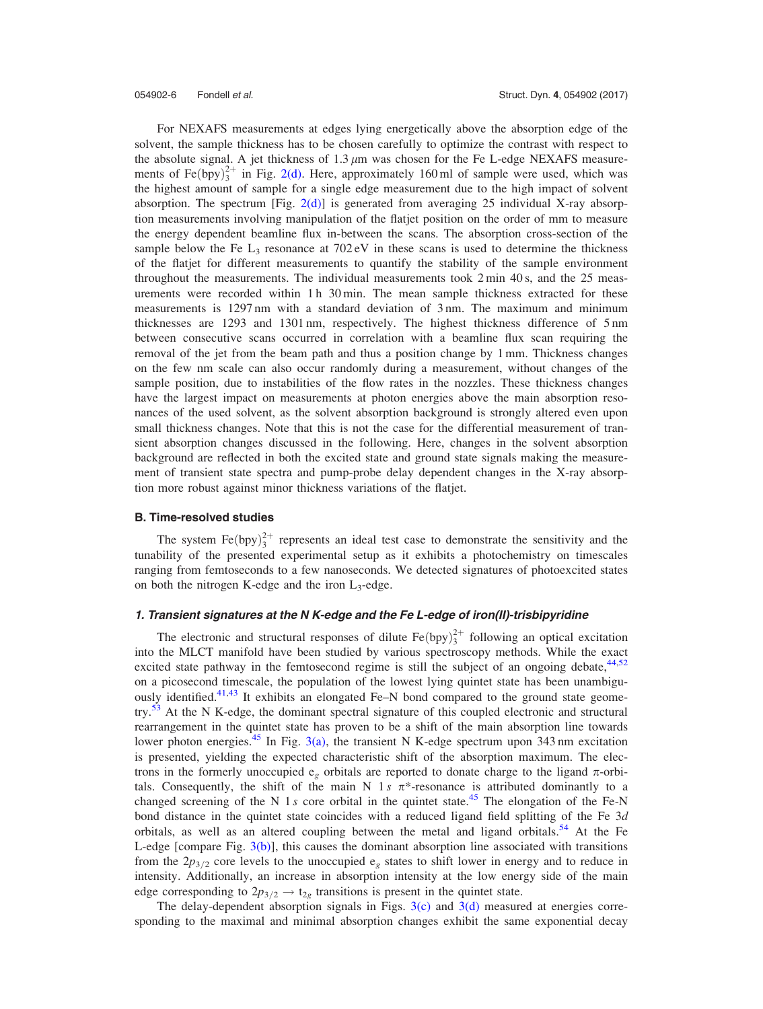054902-6 Fondell et al. Struct. Dyn. 4, 054902 (2017)

For NEXAFS measurements at edges lying energetically above the absorption edge of the solvent, the sample thickness has to be chosen carefully to optimize the contrast with respect to the absolute signal. A jet thickness of  $1.3 \mu m$  was chosen for the Fe L-edge NEXAFS measurements of Fe $(bpy)_3^{2+}$  in Fig. [2\(d\)](#page-5-0). Here, approximately 160 ml of sample were used, which was the highest amount of sample for a single edge measurement due to the high impact of solvent absorption. The spectrum [Fig.  $2(d)$ ] is generated from averaging 25 individual X-ray absorption measurements involving manipulation of the flatjet position on the order of mm to measure the energy dependent beamline flux in-between the scans. The absorption cross-section of the sample below the Fe  $L_3$  resonance at 702 eV in these scans is used to determine the thickness of the flatjet for different measurements to quantify the stability of the sample environment throughout the measurements. The individual measurements took 2 min 40 s, and the 25 measurements were recorded within  $1 h 30$  min. The mean sample thickness extracted for these measurements is 1297 nm with a standard deviation of 3 nm. The maximum and minimum thicknesses are 1293 and 1301 nm, respectively. The highest thickness difference of 5 nm between consecutive scans occurred in correlation with a beamline flux scan requiring the removal of the jet from the beam path and thus a position change by 1 mm. Thickness changes on the few nm scale can also occur randomly during a measurement, without changes of the sample position, due to instabilities of the flow rates in the nozzles. These thickness changes have the largest impact on measurements at photon energies above the main absorption resonances of the used solvent, as the solvent absorption background is strongly altered even upon small thickness changes. Note that this is not the case for the differential measurement of transient absorption changes discussed in the following. Here, changes in the solvent absorption background are reflected in both the excited state and ground state signals making the measurement of transient state spectra and pump-probe delay dependent changes in the X-ray absorption more robust against minor thickness variations of the flatjet.

#### B. Time-resolved studies

The system  $\text{Fe(bpy)}_3^{2+}$  represents an ideal test case to demonstrate the sensitivity and the tunability of the presented experimental setup as it exhibits a photochemistry on timescales ranging from femtoseconds to a few nanoseconds. We detected signatures of photoexcited states on both the nitrogen K-edge and the iron  $L_3$ -edge.

### 1. Transient signatures at the N K-edge and the Fe L-edge of iron(II)-trisbipyridine

The electronic and structural responses of dilute  $\text{Fe(bpy)}_3^{2+}$  following an optical excitation into the MLCT manifold have been studied by various spectroscopy methods. While the exact excited state pathway in the femtosecond regime is still the subject of an ongoing debate,<sup>[44](#page-10-0)[,52](#page-11-0)</sup> on a picosecond timescale, the population of the lowest lying quintet state has been unambiguously identified.<sup>41,43</sup> It exhibits an elongated Fe–N bond compared to the ground state geome- $try<sup>53</sup>$  $try<sup>53</sup>$  $try<sup>53</sup>$  At the N K-edge, the dominant spectral signature of this coupled electronic and structural rearrangement in the quintet state has proven to be a shift of the main absorption line towards lower photon energies.<sup>[45](#page-10-0)</sup> In Fig. [3\(a\)](#page-7-0), the transient N K-edge spectrum upon 343 nm excitation is presented, yielding the expected characteristic shift of the absorption maximum. The electrons in the formerly unoccupied  $e_{\rho}$  orbitals are reported to donate charge to the ligand  $\pi$ -orbitals. Consequently, the shift of the main N 1s  $\pi^*$ -resonance is attributed dominantly to a changed screening of the N 1 s core orbital in the quintet state.<sup>[45](#page-10-0)</sup> The elongation of the Fe-N bond distance in the quintet state coincides with a reduced ligand field splitting of the Fe 3d orbitals, as well as an altered coupling between the metal and ligand orbitals.<sup>[54](#page-11-0)</sup> At the Fe L-edge [compare Fig. [3\(b\)](#page-7-0)], this causes the dominant absorption line associated with transitions from the  $2p_{3/2}$  core levels to the unoccupied  $e_g$  states to shift lower in energy and to reduce in intensity. Additionally, an increase in absorption intensity at the low energy side of the main edge corresponding to  $2p_{3/2} \rightarrow t_{2g}$  transitions is present in the quintet state.

The delay-dependent absorption signals in Figs.  $3(c)$  and  $3(d)$  measured at energies corresponding to the maximal and minimal absorption changes exhibit the same exponential decay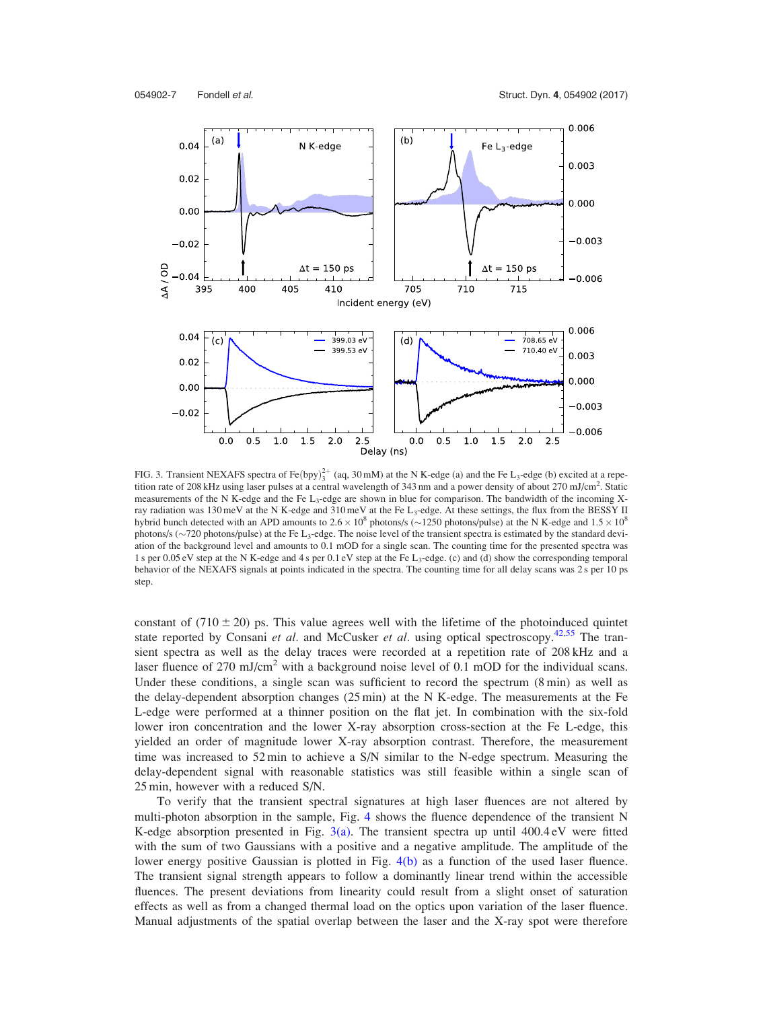<span id="page-7-0"></span>

FIG. 3. Transient NEXAFS spectra of Fe $(bpy)_3^{2+}$  (aq, 30 mM) at the N K-edge (a) and the Fe L<sub>3</sub>-edge (b) excited at a repetition rate of 208 kHz using laser pulses at a central wavelength of 343 nm and a power density of about 270 mJ/cm<sup>2</sup>. Static measurements of the N K-edge and the Fe  $L_3$ -edge are shown in blue for comparison. The bandwidth of the incoming Xray radiation was 130 meV at the N K-edge and 310 meV at the Fe L<sub>3</sub>-edge. At these settings, the flux from the BESSY II hybrid bunch detected with an APD amounts to  $2.6 \times 10^8$  photons/s ( $\sim$ 1250 photons/pulse) at the N K-edge and  $1.5 \times 10^8$ photons/s  $(\sim 720$  photons/pulse) at the Fe L<sub>3</sub>-edge. The noise level of the transient spectra is estimated by the standard deviation of the background level and amounts to 0.1 mOD for a single scan. The counting time for the presented spectra was 1 s per 0.05 eV step at the N K-edge and 4 s per 0.1 eV step at the Fe L<sub>3</sub>-edge. (c) and (d) show the corresponding temporal behavior of the NEXAFS signals at points indicated in the spectra. The counting time for all delay scans was 2 s per 10 ps step.

constant of  $(710 \pm 20)$  ps. This value agrees well with the lifetime of the photoinduced quintet state reported by Consani et al. and McCusker et al. using optical spectroscopy.<sup>[42](#page-10-0)[,55](#page-11-0)</sup> The transient spectra as well as the delay traces were recorded at a repetition rate of 208 kHz and a laser fluence of 270 mJ/cm<sup>2</sup> with a background noise level of 0.1 mOD for the individual scans. Under these conditions, a single scan was sufficient to record the spectrum (8 min) as well as the delay-dependent absorption changes (25 min) at the N K-edge. The measurements at the Fe L-edge were performed at a thinner position on the flat jet. In combination with the six-fold lower iron concentration and the lower X-ray absorption cross-section at the Fe L-edge, this yielded an order of magnitude lower X-ray absorption contrast. Therefore, the measurement time was increased to 52 min to achieve a S/N similar to the N-edge spectrum. Measuring the delay-dependent signal with reasonable statistics was still feasible within a single scan of 25 min, however with a reduced S/N.

To verify that the transient spectral signatures at high laser fluences are not altered by multi-photon absorption in the sample, Fig. [4](#page-8-0) shows the fluence dependence of the transient N K-edge absorption presented in Fig.  $3(a)$ . The transient spectra up until  $400.4 \text{ eV}$  were fitted with the sum of two Gaussians with a positive and a negative amplitude. The amplitude of the lower energy positive Gaussian is plotted in Fig. [4\(b\)](#page-8-0) as a function of the used laser fluence. The transient signal strength appears to follow a dominantly linear trend within the accessible fluences. The present deviations from linearity could result from a slight onset of saturation effects as well as from a changed thermal load on the optics upon variation of the laser fluence. Manual adjustments of the spatial overlap between the laser and the X-ray spot were therefore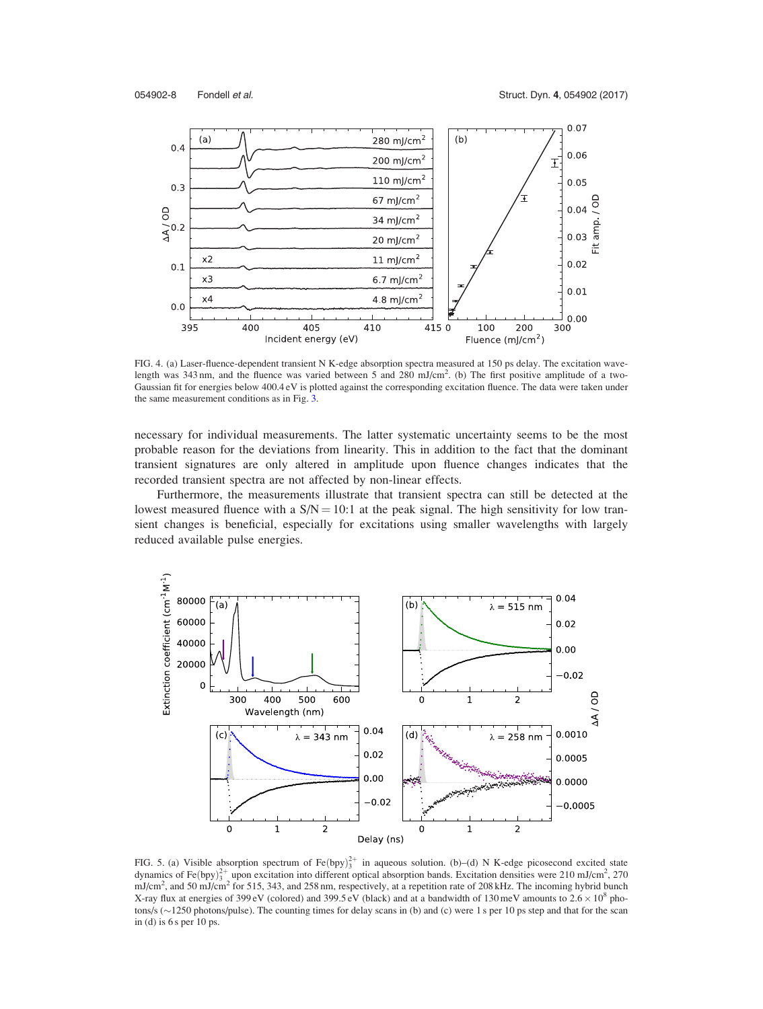<span id="page-8-0"></span>

FIG. 4. (a) Laser-fluence-dependent transient N K-edge absorption spectra measured at 150 ps delay. The excitation wavelength was 343 nm, and the fluence was varied between 5 and 280 mJ/cm<sup>2</sup>. (b) The first positive amplitude of a two-Gaussian fit for energies below 400.4 eV is plotted against the corresponding excitation fluence. The data were taken under the same measurement conditions as in Fig. [3.](#page-7-0)

necessary for individual measurements. The latter systematic uncertainty seems to be the most probable reason for the deviations from linearity. This in addition to the fact that the dominant transient signatures are only altered in amplitude upon fluence changes indicates that the recorded transient spectra are not affected by non-linear effects.

Furthermore, the measurements illustrate that transient spectra can still be detected at the lowest measured fluence with a  $S/N = 10:1$  at the peak signal. The high sensitivity for low transient changes is beneficial, especially for excitations using smaller wavelengths with largely reduced available pulse energies.



FIG. 5. (a) Visible absorption spectrum of Fe $(bpy)_3^{2+}$  in aqueous solution. (b)–(d) N K-edge picosecond excited state dynamics of Fe(bpy) $^{2+}_{3}$  upon excitation into different optical absorption bands. Excitation densities were 210 mJ/cm<sup>2</sup>, 270  $mJ/cm<sup>2</sup>$ , and 50 mJ/cm<sup>2</sup> for 515, 343, and 258 nm, respectively, at a repetition rate of 208 kHz. The incoming hybrid bunch X-ray flux at energies of 399 eV (colored) and 399.5 eV (black) and at a bandwidth of 130 meV amounts to  $2.6 \times 10^8$  photons/s  $(\sim 1250$  photons/pulse). The counting times for delay scans in (b) and (c) were 1 s per 10 ps step and that for the scan in (d) is  $6 s$  per 10 ps.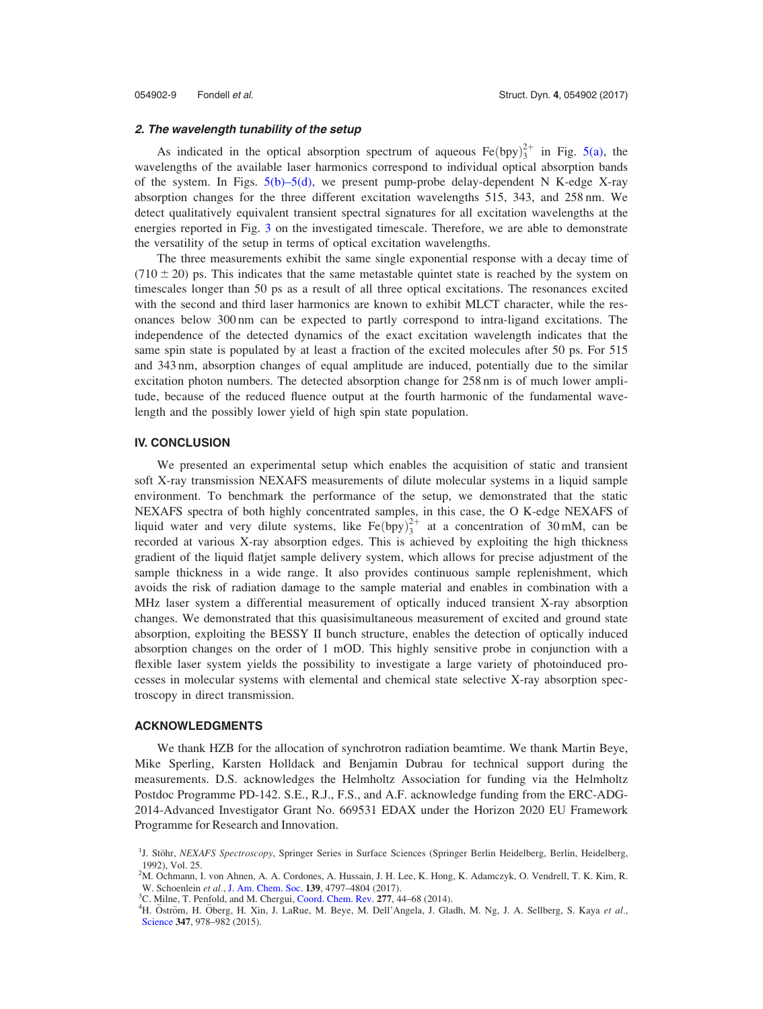#### <span id="page-9-0"></span>2. The wavelength tunability of the setup

As indicated in the optical absorption spectrum of aqueous  $\text{Fe(bpy)}_3^{2+}$  in Fig. [5\(a\)](#page-8-0), the wavelengths of the available laser harmonics correspond to individual optical absorption bands of the system. In Figs.  $5(b)$ – $5(d)$ , we present pump-probe delay-dependent N K-edge X-ray absorption changes for the three different excitation wavelengths 515, 343, and 258 nm. We detect qualitatively equivalent transient spectral signatures for all excitation wavelengths at the energies reported in Fig. [3](#page-7-0) on the investigated timescale. Therefore, we are able to demonstrate the versatility of the setup in terms of optical excitation wavelengths.

The three measurements exhibit the same single exponential response with a decay time of  $(710 \pm 20)$  ps. This indicates that the same metastable quintet state is reached by the system on timescales longer than 50 ps as a result of all three optical excitations. The resonances excited with the second and third laser harmonics are known to exhibit MLCT character, while the resonances below 300 nm can be expected to partly correspond to intra-ligand excitations. The independence of the detected dynamics of the exact excitation wavelength indicates that the same spin state is populated by at least a fraction of the excited molecules after 50 ps. For 515 and 343 nm, absorption changes of equal amplitude are induced, potentially due to the similar excitation photon numbers. The detected absorption change for 258 nm is of much lower amplitude, because of the reduced fluence output at the fourth harmonic of the fundamental wavelength and the possibly lower yield of high spin state population.

#### IV. CONCLUSION

We presented an experimental setup which enables the acquisition of static and transient soft X-ray transmission NEXAFS measurements of dilute molecular systems in a liquid sample environment. To benchmark the performance of the setup, we demonstrated that the static NEXAFS spectra of both highly concentrated samples, in this case, the O K-edge NEXAFS of liquid water and very dilute systems, like  $Fe(bpy)_{3}^{2+}$  at a concentration of 30 mM, can be recorded at various X-ray absorption edges. This is achieved by exploiting the high thickness gradient of the liquid flatjet sample delivery system, which allows for precise adjustment of the sample thickness in a wide range. It also provides continuous sample replenishment, which avoids the risk of radiation damage to the sample material and enables in combination with a MHz laser system a differential measurement of optically induced transient X-ray absorption changes. We demonstrated that this quasisimultaneous measurement of excited and ground state absorption, exploiting the BESSY II bunch structure, enables the detection of optically induced absorption changes on the order of 1 mOD. This highly sensitive probe in conjunction with a flexible laser system yields the possibility to investigate a large variety of photoinduced processes in molecular systems with elemental and chemical state selective X-ray absorption spectroscopy in direct transmission.

#### ACKNOWLEDGMENTS

We thank HZB for the allocation of synchrotron radiation beamtime. We thank Martin Beye, Mike Sperling, Karsten Holldack and Benjamin Dubrau for technical support during the measurements. D.S. acknowledges the Helmholtz Association for funding via the Helmholtz Postdoc Programme PD-142. S.E., R.J., F.S., and A.F. acknowledge funding from the ERC-ADG-2014-Advanced Investigator Grant No. 669531 EDAX under the Horizon 2020 EU Framework Programme for Research and Innovation.

<sup>&</sup>lt;sup>1</sup>J. Stöhr, NEXAFS Spectroscopy, Springer Series in Surface Sciences (Springer Berlin Heidelberg, Berlin, Heidelberg, 1992), Vol. 25.

<sup>2</sup> M. Ochmann, I. von Ahnen, A. A. Cordones, A. Hussain, J. H. Lee, K. Hong, K. Adamczyk, O. Vendrell, T. K. Kim, R. W. Schoenlein et al., [J. Am. Chem. Soc.](http://dx.doi.org/10.1021/jacs.6b12992) 139, 4797-4804 (2017).

 ${}^{3}$ C. Milne, T. Penfold, and M. Chergui, [Coord. Chem. Rev.](http://dx.doi.org/10.1016/j.ccr.2014.02.013) 277, 44–68 (2014).

<sup>&</sup>lt;sup>4</sup>H. Öström, H. Öberg, H. Xin, J. LaRue, M. Beye, M. Dell'Angela, J. Gladh, M. Ng, J. A. Sellberg, S. Kaya et al., [Science](http://dx.doi.org/10.1126/science.1261747) 347, 978-982 (2015).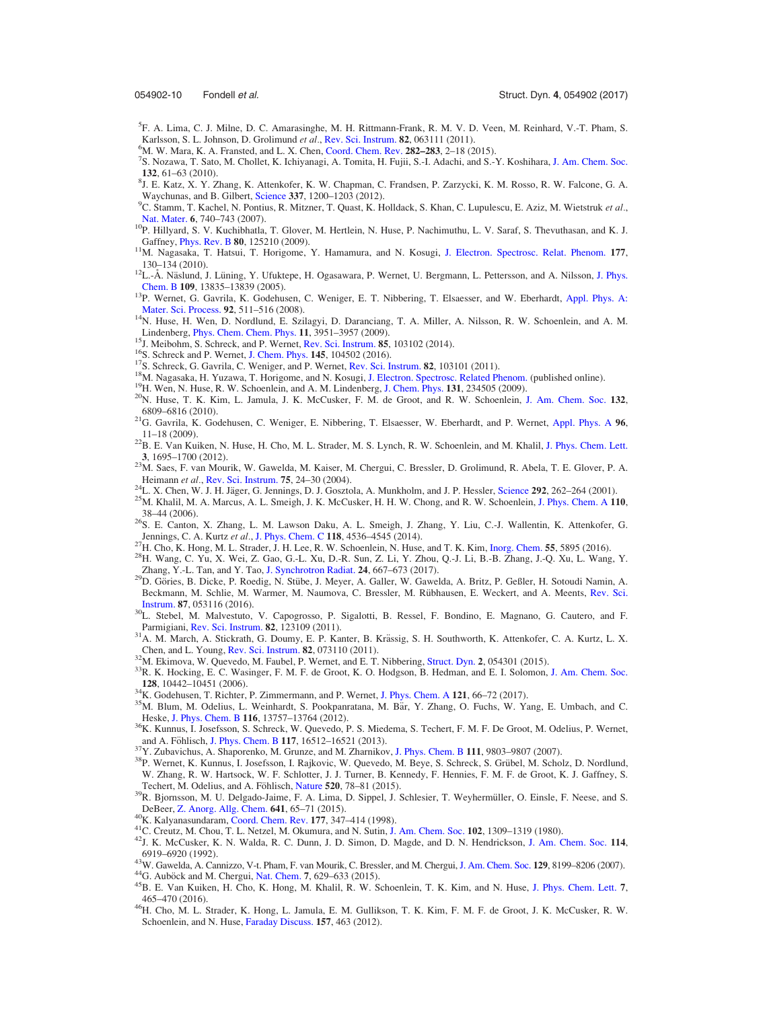<span id="page-10-0"></span>

- 5 F. A. Lima, C. J. Milne, D. C. Amarasinghe, M. H. Rittmann-Frank, R. M. V. D. Veen, M. Reinhard, V.-T. Pham, S. Karlsson, S. L. Johnson, D. Grolimund et al., [Rev. Sci. Instrum.](http://dx.doi.org/10.1063/1.3600616) 82, 063111 (2011).
- ${}^{6}$ M. W. Mara, K. A. Fransted, and L. X. Chen, [Coord. Chem. Rev.](http://dx.doi.org/10.1016/j.ccr.2014.06.013) 282–283, 2–18 (2015).
- <sup>7</sup>S. Nozawa, T. Sato, M. Chollet, K. Ichiyanagi, A. Tomita, H. Fujii, S.-I. Adachi, and S.-Y. Koshihara, [J. Am. Chem. Soc.](http://dx.doi.org/10.1021/ja907460b) <sup>132</sup>, 61–63 (2010). <sup>8</sup>
- ${}^8$ J. E. Katz, X. Y. Zhang, K. Attenkofer, K. W. Chapman, C. Frandsen, P. Zarzycki, K. M. Rosso, R. W. Falcone, G. A. Waychunas, and B. Gilbert, [Science](http://dx.doi.org/10.1126/science.1223598) 337, 1200-1203 (2012).
- <sup>9</sup>C. Stamm, T. Kachel, N. Pontius, R. Mitzner, T. Quast, K. Holldack, S. Khan, C. Lupulescu, E. Aziz, M. Wietstruk et al., Nat. Mater. 6, 740–743 (2007).
- <sup>10</sup>P. Hillyard, S. V. Kuchibhatla, T. Glover, M. Hertlein, N. Huse, P. Nachimuthu, L. V. Saraf, S. Thevuthasan, and K. J. Gaffney, *Phys. Rev. B* **80**, 125210 (2009).
- <sup>11</sup>M. Nagasaka, T. Hatsui, T. Horigome, Y. Hamamura, and N. Kosugi, [J. Electron. Spectrosc. Relat. Phenom.](http://dx.doi.org/10.1016/j.elspec.2009.11.001) 177,
- 130–134 (2010). <sup>12</sup>L.-Å. Näslund, J. Lüning, Y. Ufuktepe, H. Ogasawara, P. Wernet, U. Bergmann, L. Pettersson, and A. Nilsson, [J. Phys.](http://dx.doi.org/10.1021/jp052046q) Chem. B **109**, 13835–13839 (2005).
- <sup>13</sup>P. Wernet, G. Gavrila, K. Godehusen, C. Weniger, E. T. Nibbering, T. Elsaesser, and W. Eberhardt, [Appl. Phys. A:](http://dx.doi.org/10.1007/s00339-008-4726-5) Mater. Sci. Process. **92**, 511–516 (2008).
- <sup>14</sup>N. Huse, H. Wen, D. Nordlund, E. Szilagyi, D. Daranciang, T. A. Miller, A. Nilsson, R. W. Schoenlein, and A. M.
- 
- 
- 
- 
- 
- Lindenberg, [Phys. Chem. Chem. Phys.](http://dx.doi.org/10.1039/b822210j) 11, 3951–3957 (2009).<br><sup>15</sup>J. Meibohm, S. Schreck, and P. Wernet, [Rev. Sci. Instrum.](http://dx.doi.org/10.1063/1.3644192) **85**, 103102 (2014).<br><sup>16</sup>S. Schreck and P. Wernet, [J. Chem. Phys.](http://dx.doi.org/10.1063/1.3273204) **145**, 104502 (2016).<br><sup>17</sup>S. Schrec
- <sup>21</sup>G. Gavrila, K. Godehusen, C. Weniger, E. Nibbering, T. Elsaesser, W. Eberhardt, and P. Wernet, [Appl. Phys. A](http://dx.doi.org/10.1007/s00339-009-5190-6)  $96$ , 11–18 (2009).
- $^{22}$ B. E. Van Kuiken, N. Huse, H. Cho, M. L. Strader, M. S. Lynch, R. W. Schoenlein, and M. Khalil, [J. Phys. Chem. Lett.](http://dx.doi.org/10.1021/jz300671e)
- <sup>3</sup>, 1695–1700 (2012). 23M. Saes, F. van Mourik, W. Gawelda, M. Kaiser, M. Chergui, C. Bressler, D. Grolimund, R. Abela, T. E. Glover, P. A.
- 
- Heimann et al., [Rev. Sci. Instrum.](http://dx.doi.org/10.1063/1.1633003) 75, 24–30 (2004).<br><sup>24</sup>L. X. Chen, W. J. H. Jäger, G. Jennings, D. J. Gosztola, A. Munkholm, and J. P. Hessler, [Science](http://dx.doi.org/10.1126/science.1057063) **292**, 262–264 (2001).<br><sup>25</sup>M. Khalil, M. A. Marcus, A. L. Smeigh, J. 38–44 (2006).<br><sup>26</sup>S. E. Canton, X. Zhang, L. M. Lawson Daku, A. L. Smeigh, J. Zhang, Y. Liu, C.-J. Wallentin, K. Attenkofer, G.
- 
- 
- Jennings, C. A. Kurtz et al., [J. Phys. Chem. C](http://dx.doi.org/10.1021/jp5003963) 118, 4536–4545 (2014).<br><sup>27</sup>H. Cho, K. Hong, M. L. Strader, J. H. Lee, R. W. Schoenlein, N. Huse, and T. K. Kim, [Inorg. Chem.](http://dx.doi.org/10.1021/acs.inorgchem.6b00208) 55, 5895 (2016).<br><sup>28</sup>H. Wang, C. Yu, X. Wei, Z. Ga
- <sup>29</sup>D. Göries, B. Dicke, P. Roedig, N. Stübe, J. Meyer, A. Galler, W. Gawelda, A. Britz, P. Geßler, H. Sotoudi Namin, A. Beckmann, M. Schlie, M. Warmer, M. Naumova, C. Bressler, M. Rübhausen, E. Weckert, and A. Meents, [Rev. Sci.](http://dx.doi.org/10.1063/1.4948596)
- [Instrum.](http://dx.doi.org/10.1063/1.4948596) 87, 053116 (2016).<br><sup>30</sup>L. Stebel, M. Malvestuto, V. Capogrosso, P. Sigalotti, B. Ressel, F. Bondino, E. Magnano, G. Cautero, and F. Parmigiani, Rev. Sci. Instrum. 82, 123109 (2011).
- Parmigiani, [Rev. Sci. Instrum.](http://dx.doi.org/10.1063/1.3669787) Rev. Sci. Instrum. 82, 073110 (2011). 31A. M. March, A. Stickrath, G. Doumy, E. P. Kanter, B. Krässig, S. H. Southworth, K. Attenkofer, C. A. Kurtz, L. X. Chen, and L. Young, Rev. Sci. Instru
- 
- <sup>32</sup>M. Ekimova, W. Quevedo, M. Faubel, P. Wernet, and E. T. Nibbering, [Struct. Dyn.](http://dx.doi.org/10.1063/1.4928715) 2, 054301 (2015).<br><sup>33</sup>R. K. Hocking, E. C. Wasinger, F. M. F. de Groot, K. O. Hodgson, B. Hedman, and E. I. Solomon, [J. Am. Chem. Soc.](http://dx.doi.org/10.1021/ja061802i)<br>**1**
- 
- <sup>34</sup>K. Godehusen, T. Richter, P. Zimmermann, and P. Wernet, [J. Phys. Chem. A](http://dx.doi.org/10.1021/acs.jpca.6b10399) 121, 66–72 (2017).<br><sup>35</sup>M. Blum, M. Odelius, L. Weinhardt, S. Pookpanratana, M. Bär, Y. Zhang, O. Fuchs, W. Yang, E. Umbach, and C.
- Heske, [J. Phys. Chem. B](http://dx.doi.org/10.1021/jp302958j) 116, 13757–13764 (2012).<br><sup>36</sup>K. Kunnus, I. Josefsson, S. Schreck, W. Quevedo, P. S. Miedema, S. Techert, F. M. F. De Groot, M. Odelius, P. Wernet, and A. Föhlisch, J. Phys. Chem. B 117, 16512–16521
- 
- <sup>37</sup>Y. Zubavichus, A. Shaporenko, M. Grunze, and M. Zharnikov, [J. Phys. Chem. B](http://dx.doi.org/10.1021/jp073922y) 111, 9803–9807 (2007).<br><sup>38</sup>P. Wernet, K. Kunnus, I. Josefsson, I. Rajkovic, W. Quevedo, M. Beye, S. Schreck, S. Grübel, M. Scholz, D. Nordlund W. Zhang, R. W. Hartsock, W. F. Schlotter, J. J. Turner, B. Kennedy, F. Hennies, F. M. F. de Groot, K. J. Gaffney, S.
- Techert, M. Odelius, and A. Föhlisch, [Nature](http://dx.doi.org/10.1038/nature14296) 520, 78–81 (2015). 39R. Bjornsson, M. U. Delgado-Jaime, F. A. Lima, D. Sippel, J. Schlesier, T. Weyhermüller, O. Einsle, F. Neese, and S.
- 
- 
- DeBeer, [Z. Anorg. Allg. Chem.](http://dx.doi.org/10.1002/zaac.201400446) 641, 65–71 (2015).<br><sup>40</sup>K. Kalyanasundaram, [Coord. Chem. Rev.](http://dx.doi.org/10.1016/S0010-8545(98)00189-1) 177, 347–414 (1998).<br><sup>41</sup>C. Creutz, M. Chou, T. L. Netzel, M. Okumura, and N. Sutin, [J. Am. Chem. Soc.](http://dx.doi.org/10.1021/ja00043a049) 102, 1309–1319 (1980).<br><sup>42</sup>J
- 
- 
- 45 W. Gawelda, A. Cannizzo, V-t. Pham, F. van Mourik, C. Bressler, and M. Chergui, [J. Am. Chem. Soc.](http://dx.doi.org/10.1021/ja070454x) 129, 8199–8206 (2007).<br><sup>44</sup>G. Auböck and M. Chergui, [Nat. Chem.](http://dx.doi.org/10.1038/nchem.2305) 7, 629–633 (2015).<br><sup>45</sup>B. E. Van Kuiken, H. Cho, K. Hong
- 465–470 (2016). 46H. Cho, M. L. Strader, K. Hong, L. Jamula, E. M. Gullikson, T. K. Kim, F. M. F. de Groot, J. K. McCusker, R. W. Schoenlein, and N. Huse, [Faraday Discuss.](http://dx.doi.org/10.1039/c2fd20040f) 157, 463 (2012).